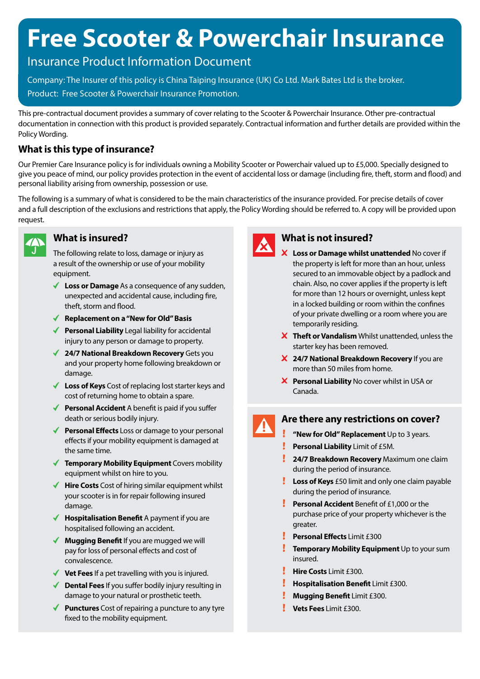# **Free Scooter & Powerchair Insurance**

## Insurance Product Information Document

Company: The Insurer of this policy is China Taiping Insurance (UK) Co Ltd. Mark Bates Ltd is the broker. Product: Free Scooter & Powerchair Insurance Promotion.

This pre-contractual document provides a summary of cover relating to the Scooter & Powerchair Insurance. Other pre-contractual documentation in connection with this product is provided separately. Contractual information and further details are provided within the Policy Wording.

### **What is this type of insurance?**

Our Premier Care Insurance policy is for individuals owning a Mobility Scooter or Powerchair valued up to £5,000. Specially designed to give you peace of mind, our policy provides protection in the event of accidental loss or damage (including fire, theft, storm and flood) and personal liability arising from ownership, possession or use.

The following is a summary of what is considered to be the main characteristics of the insurance provided. For precise details of cover and a full description of the exclusions and restrictions that apply, the Policy Wording should be referred to. A copy will be provided upon request.



#### **What is insured?**

The following relate to loss, damage or injury as a result of the ownership or use of your mobility equipment.

- **Loss or Damage** As a consequence of any sudden, unexpected and accidental cause, including fire, theft, storm and flood.
- **Replacement on a "New for Old" Basis**
- ◆ **Personal Liability** Legal liability for accidental injury to any person or damage to property.
- **24/7 National Breakdown Recovery** Gets you and your property home following breakdown or damage.
- ◆ **Loss of Keys** Cost of replacing lost starter keys and cost of returning home to obtain a spare.
- ◆ **Personal Accident** A benefit is paid if you suffer death or serious bodily injury.
- ◆ **Personal Effects** Loss or damage to your personal effects if your mobility equipment is damaged at the same time.
- ◆ **Temporary Mobility Equipment** Covers mobility equipment whilst on hire to you.
- ◆ **Hire Costs** Cost of hiring similar equipment whilst your scooter is in for repair following insured damage.
- ◆ Hospitalisation Benefit A payment if you are hospitalised following an accident.
- ◆ **Mugging Benefit** If you are mugged we will pay for loss of personal effects and cost of convalescence.
- **Vet Fees** If a pet travelling with you is injured.
- ◆ **Dental Fees** If you suffer bodily injury resulting in damage to your natural or prosthetic teeth.
- ◆ **Punctures** Cost of repairing a puncture to any tyre fixed to the mobility equipment.



#### **What is not insured?**

- **Loss or Damage whilst unattended** No cover if the property is left for more than an hour, unless secured to an immovable object by a padlock and chain. Also, no cover applies if the property is left for more than 12 hours or overnight, unless kept in a locked building or room within the confines of your private dwelling or a room where you are temporarily residing.
- **Theft or Vandalism** Whilst unattended, unless the starter key has been removed.
- **24/7 National Breakdown Recovery** If you are more than 50 miles from home.
- **X** Personal Liability No cover whilst in USA or Canada.

#### **Are there any restrictions on cover?**

- **"New for Old" Replacement** Up to 3 years.
- **Personal Liability** Limit of £5M.
- **24/7 Breakdown Recovery** Maximum one claim during the period of insurance.
- **Loss of Keys** £50 limit and only one claim payable during the period of insurance.
- **Personal Accident** Benefit of £1,000 or the purchase price of your property whichever is the greater.
- **Personal Effects** Limit £300
- **Temporary Mobility Equipment** Up to your sum insured.
- Ţ. **Hire Costs Limit £300.**
- Ţ. **Hospitalisation Benefit** Limit £300.
- **Mugging Benefit** Limit £300.
- **Vets Fees** Limit £300.